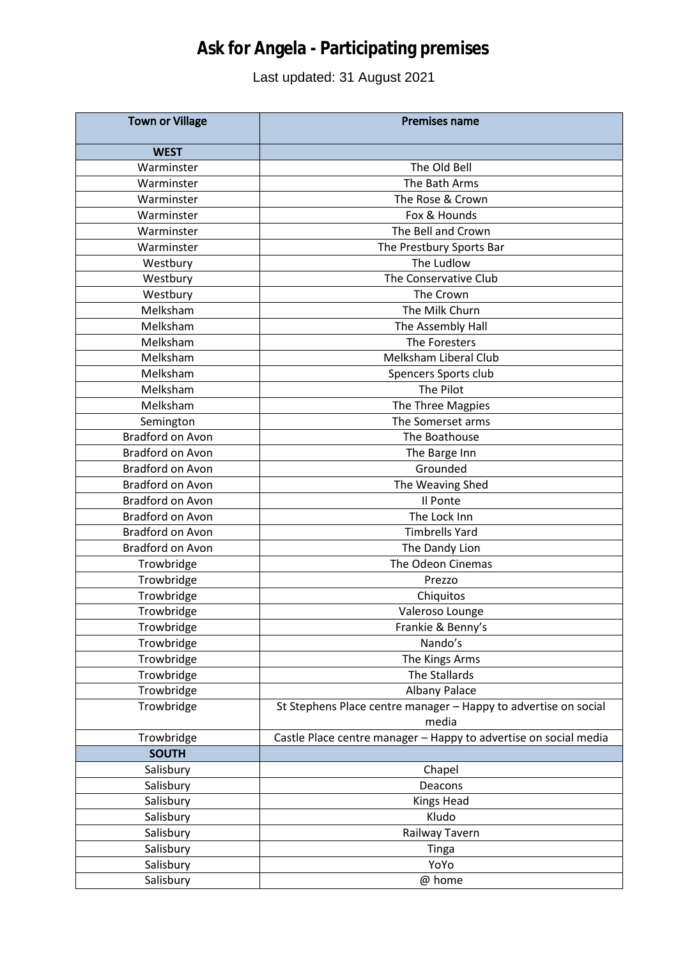## **Ask for Angela - Participating premises**

## Last updated: 31 August 2021

| <b>Town or Village</b>  | <b>Premises name</b>                                                     |
|-------------------------|--------------------------------------------------------------------------|
| <b>WEST</b>             |                                                                          |
| Warminster              | The Old Bell                                                             |
| Warminster              | The Bath Arms                                                            |
| Warminster              | The Rose & Crown                                                         |
| Warminster              | Fox & Hounds                                                             |
| Warminster              | The Bell and Crown                                                       |
| Warminster              | The Prestbury Sports Bar                                                 |
| Westbury                | The Ludlow                                                               |
| Westbury                | The Conservative Club                                                    |
| Westbury                | The Crown                                                                |
| Melksham                | The Milk Churn                                                           |
| Melksham                | The Assembly Hall                                                        |
| Melksham                | The Foresters                                                            |
| Melksham                | Melksham Liberal Club                                                    |
| Melksham                | Spencers Sports club                                                     |
| Melksham                | The Pilot                                                                |
| Melksham                | The Three Magpies                                                        |
| Semington               | The Somerset arms                                                        |
| <b>Bradford on Avon</b> | The Boathouse                                                            |
| <b>Bradford on Avon</b> | The Barge Inn                                                            |
| <b>Bradford on Avon</b> | Grounded                                                                 |
| <b>Bradford on Avon</b> | The Weaving Shed                                                         |
| Bradford on Avon        | Il Ponte                                                                 |
| <b>Bradford on Avon</b> | The Lock Inn                                                             |
| <b>Bradford on Avon</b> | <b>Timbrells Yard</b>                                                    |
| Bradford on Avon        | The Dandy Lion                                                           |
| Trowbridge              | The Odeon Cinemas                                                        |
| Trowbridge              | Prezzo                                                                   |
| Trowbridge              | Chiquitos                                                                |
| Trowbridge              | Valeroso Lounge                                                          |
| Trowbridge              | Frankie & Benny's                                                        |
| Trowbridge              | Nando's                                                                  |
| Trowbridge              | The Kings Arms                                                           |
| Trowbridge              | The Stallards                                                            |
| Trowbridge              | Albany Palace                                                            |
| Trowbridge              | St Stephens Place centre manager - Happy to advertise on social<br>media |
| Trowbridge              | Castle Place centre manager - Happy to advertise on social media         |
| <b>SOUTH</b>            |                                                                          |
| Salisbury               | Chapel                                                                   |
| Salisbury               | Deacons                                                                  |
| Salisbury               | Kings Head                                                               |
| Salisbury               | Kludo                                                                    |
| Salisbury               | Railway Tavern                                                           |
| Salisbury               | Tinga                                                                    |
| Salisbury               | YoYo                                                                     |
| Salisbury               | @ home                                                                   |